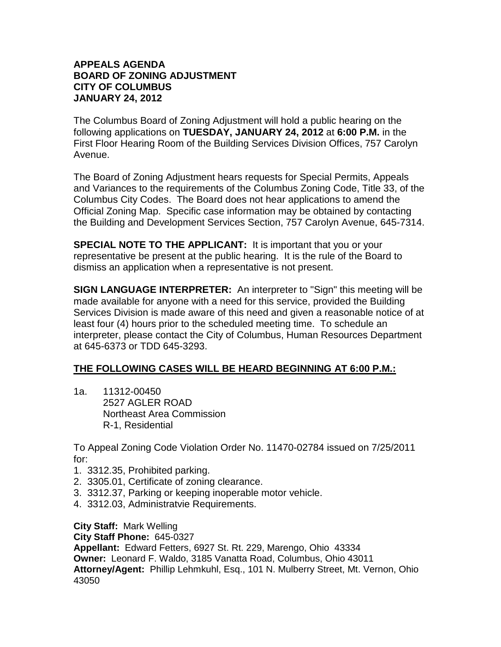## **APPEALS AGENDA BOARD OF ZONING ADJUSTMENT CITY OF COLUMBUS JANUARY 24, 2012**

The Columbus Board of Zoning Adjustment will hold a public hearing on the following applications on **TUESDAY, JANUARY 24, 2012** at **6:00 P.M.** in the First Floor Hearing Room of the Building Services Division Offices, 757 Carolyn Avenue.

The Board of Zoning Adjustment hears requests for Special Permits, Appeals and Variances to the requirements of the Columbus Zoning Code, Title 33, of the Columbus City Codes. The Board does not hear applications to amend the Official Zoning Map. Specific case information may be obtained by contacting the Building and Development Services Section, 757 Carolyn Avenue, 645-7314.

**SPECIAL NOTE TO THE APPLICANT:** It is important that you or your representative be present at the public hearing. It is the rule of the Board to dismiss an application when a representative is not present.

**SIGN LANGUAGE INTERPRETER:** An interpreter to "Sign" this meeting will be made available for anyone with a need for this service, provided the Building Services Division is made aware of this need and given a reasonable notice of at least four (4) hours prior to the scheduled meeting time. To schedule an interpreter, please contact the City of Columbus, Human Resources Department at 645-6373 or TDD 645-3293.

## **THE FOLLOWING CASES WILL BE HEARD BEGINNING AT 6:00 P.M.:**

1a. 11312-00450 2527 AGLER ROAD Northeast Area Commission R-1, Residential

To Appeal Zoning Code Violation Order No. 11470-02784 issued on 7/25/2011 for:

- 1. 3312.35, Prohibited parking.
- 2. 3305.01, Certificate of zoning clearance.
- 3. 3312.37, Parking or keeping inoperable motor vehicle.
- 4. 3312.03, Administratvie Requirements.

**City Staff:** Mark Welling

**City Staff Phone:** 645-0327

**Appellant:** Edward Fetters, 6927 St. Rt. 229, Marengo, Ohio 43334 **Owner:** Leonard F. Waldo, 3185 Vanatta Road, Columbus, Ohio 43011 **Attorney/Agent:** Phillip Lehmkuhl, Esq., 101 N. Mulberry Street, Mt. Vernon, Ohio 43050